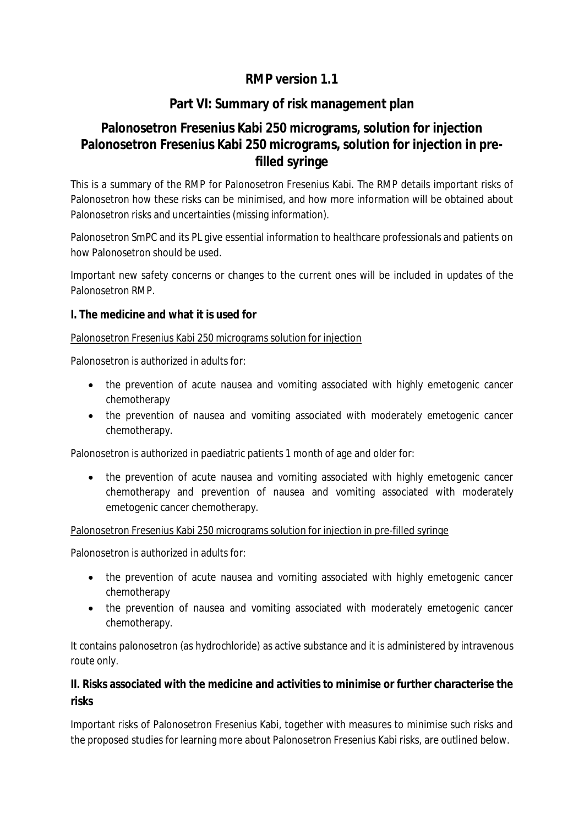# **RMP version 1.1**

## **Part VI: Summary of risk management plan**

# **Palonosetron Fresenius Kabi 250 micrograms, solution for injection Palonosetron Fresenius Kabi 250 micrograms, solution for injection in prefilled syringe**

This is a summary of the RMP for Palonosetron Fresenius Kabi. The RMP details important risks of Palonosetron how these risks can be minimised, and how more information will be obtained about Palonosetron risks and uncertainties (missing information).

Palonosetron SmPC and its PL give essential information to healthcare professionals and patients on how Palonosetron should be used.

Important new safety concerns or changes to the current ones will be included in updates of the Palonosetron RMP.

## **I. The medicine and what it is used for**

#### Palonosetron Fresenius Kabi 250 micrograms solution for injection

Palonosetron is authorized in adults for:

- the prevention of acute nausea and vomiting associated with highly emetogenic cancer chemotherapy
- the prevention of nausea and vomiting associated with moderately emetogenic cancer chemotherapy.

Palonosetron is authorized in paediatric patients 1 month of age and older for:

• the prevention of acute nausea and vomiting associated with highly emetogenic cancer chemotherapy and prevention of nausea and vomiting associated with moderately emetogenic cancer chemotherapy.

#### Palonosetron Fresenius Kabi 250 micrograms solution for injection in pre-filled syringe

Palonosetron is authorized in adults for:

- the prevention of acute nausea and vomiting associated with highly emetogenic cancer chemotherapy
- the prevention of nausea and vomiting associated with moderately emetogenic cancer chemotherapy.

It contains palonosetron (as hydrochloride) as active substance and it is administered by intravenous route only.

**II. Risks associated with the medicine and activities to minimise or further characterise the risks**

Important risks of Palonosetron Fresenius Kabi, together with measures to minimise such risks and the proposed studies for learning more about Palonosetron Fresenius Kabi risks, are outlined below.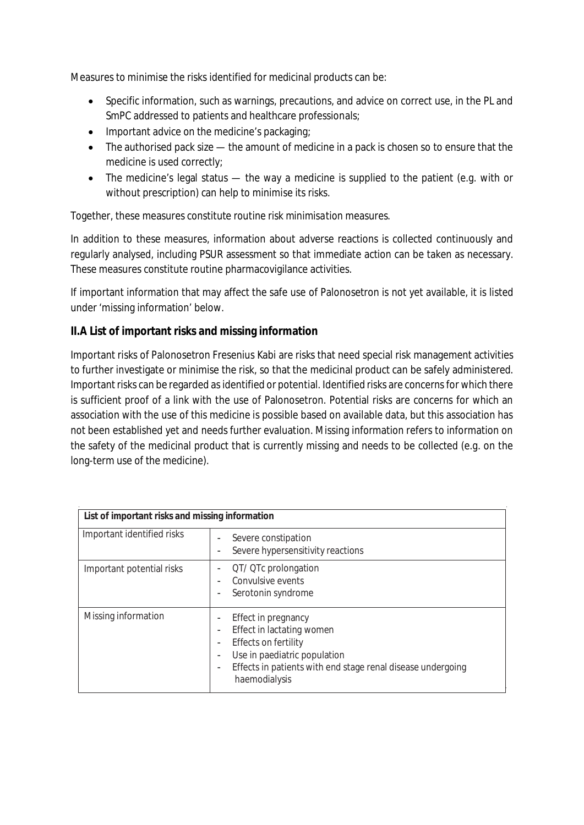Measures to minimise the risks identified for medicinal products can be:

- Specific information, such as warnings, precautions, and advice on correct use, in the PL and SmPC addressed to patients and healthcare professionals;
- Important advice on the medicine's packaging;
- The authorised pack size the amount of medicine in a pack is chosen so to ensure that the medicine is used correctly;
- The medicine's legal status the way a medicine is supplied to the patient (e.g. with or without prescription) can help to minimise its risks.

Together, these measures constitute *routine risk minimisation* measures.

In addition to these measures, information about adverse reactions is collected continuously and regularly analysed, including PSUR assessment so that immediate action can be taken as necessary. These measures constitute routine pharmacovigilance activities.

If important information that may affect the safe use of Palonosetron is not yet available, it is listed under 'missing information' below.

## **II.A List of important risks and missing information**

Important risks of Palonosetron Fresenius Kabi are risks that need special risk management activities to further investigate or minimise the risk, so that the medicinal product can be safely administered. Important risks can be regarded as identified or potential. Identified risks are concerns for which there is sufficient proof of a link with the use of Palonosetron. Potential risks are concerns for which an association with the use of this medicine is possible based on available data, but this association has not been established yet and needs further evaluation. Missing information refers to information on the safety of the medicinal product that is currently missing and needs to be collected (e.g. on the long-term use of the medicine).

| List of important risks and missing information |                                                                                                                                                                                          |
|-------------------------------------------------|------------------------------------------------------------------------------------------------------------------------------------------------------------------------------------------|
| Important identified risks                      | Severe constipation<br>Severe hypersensitivity reactions                                                                                                                                 |
| Important potential risks                       | QT/ QTc prolongation<br>Convulsive events<br>Serotonin syndrome                                                                                                                          |
| Missing information                             | Effect in pregnancy<br>Effect in lactating women<br>Effects on fertility<br>Use in paediatric population<br>Effects in patients with end stage renal disease undergoing<br>haemodialysis |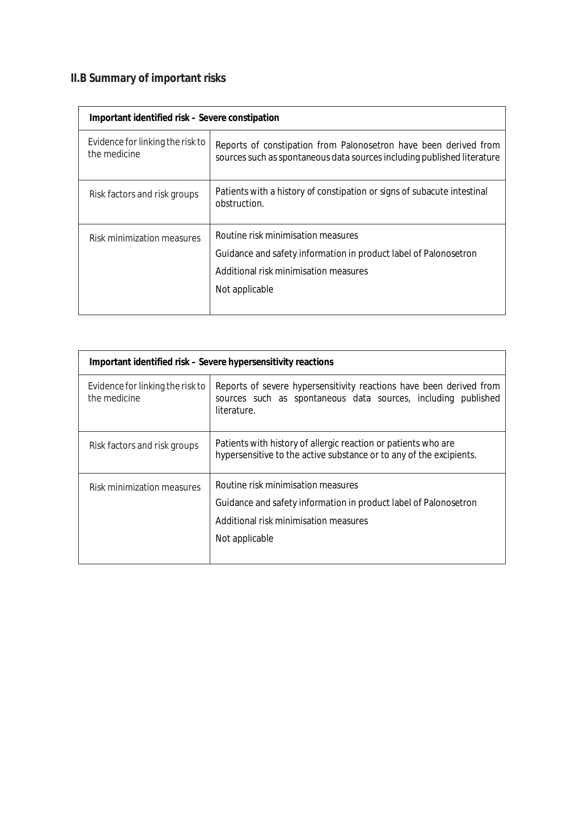# **II.B Summary of important risks**

| Important identified risk – Severe constipation  |                                                                                                                                                                   |
|--------------------------------------------------|-------------------------------------------------------------------------------------------------------------------------------------------------------------------|
| Evidence for linking the risk to<br>the medicine | Reports of constipation from Palonosetron have been derived from<br>sources such as spontaneous data sources including published literature                       |
| Risk factors and risk groups                     | Patients with a history of constipation or signs of subacute intestinal<br>obstruction.                                                                           |
| Risk minimization measures                       | Routine risk minimisation measures<br>Guidance and safety information in product label of Palonosetron<br>Additional risk minimisation measures<br>Not applicable |

| Important identified risk - Severe hypersensitivity reactions |                                                                                                                                                                   |
|---------------------------------------------------------------|-------------------------------------------------------------------------------------------------------------------------------------------------------------------|
| Evidence for linking the risk to<br>the medicine              | Reports of severe hypersensitivity reactions have been derived from<br>sources such as spontaneous data sources, including published<br>literature.               |
| Risk factors and risk groups                                  | Patients with history of allergic reaction or patients who are<br>hypersensitive to the active substance or to any of the excipients.                             |
| Risk minimization measures                                    | Routine risk minimisation measures<br>Guidance and safety information in product label of Palonosetron<br>Additional risk minimisation measures<br>Not applicable |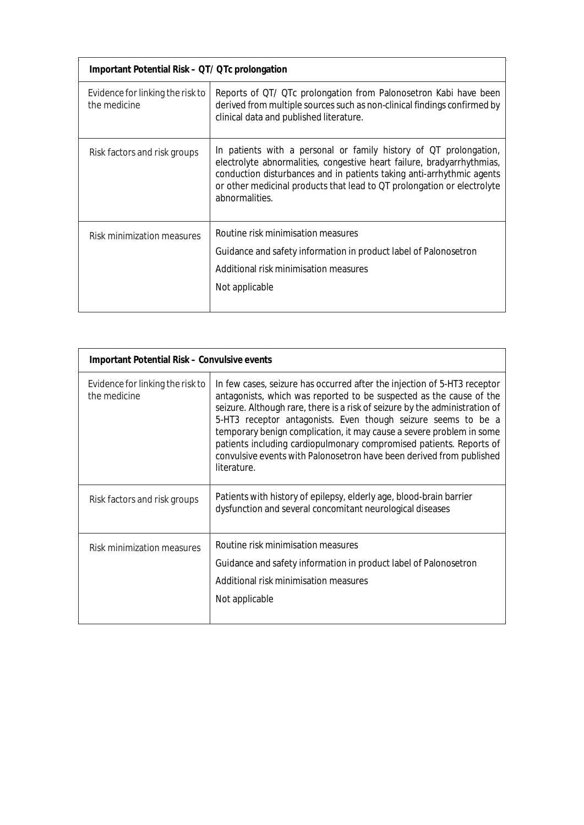| Important Potential Risk – QT/ QTc prolongation  |                                                                                                                                                                                                                                                                                                                   |
|--------------------------------------------------|-------------------------------------------------------------------------------------------------------------------------------------------------------------------------------------------------------------------------------------------------------------------------------------------------------------------|
| Evidence for linking the risk to<br>the medicine | Reports of QT/ QTc prolongation from Palonosetron Kabi have been<br>derived from multiple sources such as non-clinical findings confirmed by<br>clinical data and published literature.                                                                                                                           |
| Risk factors and risk groups                     | In patients with a personal or family history of QT prolongation,<br>electrolyte abnormalities, congestive heart failure, bradyarrhythmias,<br>conduction disturbances and in patients taking anti-arrhythmic agents<br>or other medicinal products that lead to QT prolongation or electrolyte<br>abnormalities. |
| Risk minimization measures                       | Routine risk minimisation measures<br>Guidance and safety information in product label of Palonosetron<br>Additional risk minimisation measures<br>Not applicable                                                                                                                                                 |

| Important Potential Risk - Convulsive events     |                                                                                                                                                                                                                                                                                                                                                                                                                                                                                                                                       |
|--------------------------------------------------|---------------------------------------------------------------------------------------------------------------------------------------------------------------------------------------------------------------------------------------------------------------------------------------------------------------------------------------------------------------------------------------------------------------------------------------------------------------------------------------------------------------------------------------|
| Evidence for linking the risk to<br>the medicine | In few cases, seizure has occurred after the injection of 5-HT3 receptor<br>antagonists, which was reported to be suspected as the cause of the<br>seizure. Although rare, there is a risk of seizure by the administration of<br>5-HT3 receptor antagonists. Even though seizure seems to be a<br>temporary benign complication, it may cause a severe problem in some<br>patients including cardiopulmonary compromised patients. Reports of<br>convulsive events with Palonosetron have been derived from published<br>literature. |
| Risk factors and risk groups                     | Patients with history of epilepsy, elderly age, blood-brain barrier<br>dysfunction and several concomitant neurological diseases                                                                                                                                                                                                                                                                                                                                                                                                      |
| Risk minimization measures                       | Routine risk minimisation measures<br>Guidance and safety information in product label of Palonosetron<br>Additional risk minimisation measures<br>Not applicable                                                                                                                                                                                                                                                                                                                                                                     |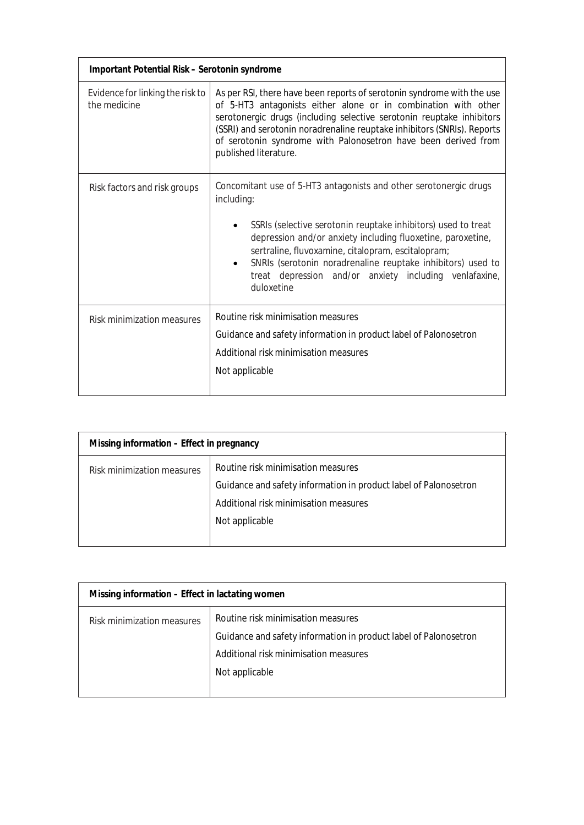| Important Potential Risk - Serotonin syndrome    |                                                                                                                                                                                                                                                                                                                                                                                                              |
|--------------------------------------------------|--------------------------------------------------------------------------------------------------------------------------------------------------------------------------------------------------------------------------------------------------------------------------------------------------------------------------------------------------------------------------------------------------------------|
| Evidence for linking the risk to<br>the medicine | As per RSI, there have been reports of serotonin syndrome with the use<br>of 5-HT3 antagonists either alone or in combination with other<br>serotonergic drugs (including selective serotonin reuptake inhibitors<br>(SSRI) and serotonin noradrenaline reuptake inhibitors (SNRIs). Reports<br>of serotonin syndrome with Palonosetron have been derived from<br>published literature.                      |
| Risk factors and risk groups                     | Concomitant use of 5-HT3 antagonists and other serotonergic drugs<br>including:<br>SSRIs (selective serotonin reuptake inhibitors) used to treat<br>depression and/or anxiety including fluoxetine, paroxetine,<br>sertraline, fluvoxamine, citalopram, escitalopram;<br>SNRIs (serotonin noradrenaline reuptake inhibitors) used to<br>treat depression and/or anxiety including venlafaxine,<br>duloxetine |
| <b>Risk minimization measures</b>                | Routine risk minimisation measures<br>Guidance and safety information in product label of Palonosetron<br>Additional risk minimisation measures<br>Not applicable                                                                                                                                                                                                                                            |

| Missing information - Effect in pregnancy |                                                                                                                                                                   |
|-------------------------------------------|-------------------------------------------------------------------------------------------------------------------------------------------------------------------|
| Risk minimization measures                | Routine risk minimisation measures<br>Guidance and safety information in product label of Palonosetron<br>Additional risk minimisation measures<br>Not applicable |

| Missing information - Effect in lactating women |                                                                                                                                                                   |
|-------------------------------------------------|-------------------------------------------------------------------------------------------------------------------------------------------------------------------|
| Risk minimization measures                      | Routine risk minimisation measures<br>Guidance and safety information in product label of Palonosetron<br>Additional risk minimisation measures<br>Not applicable |